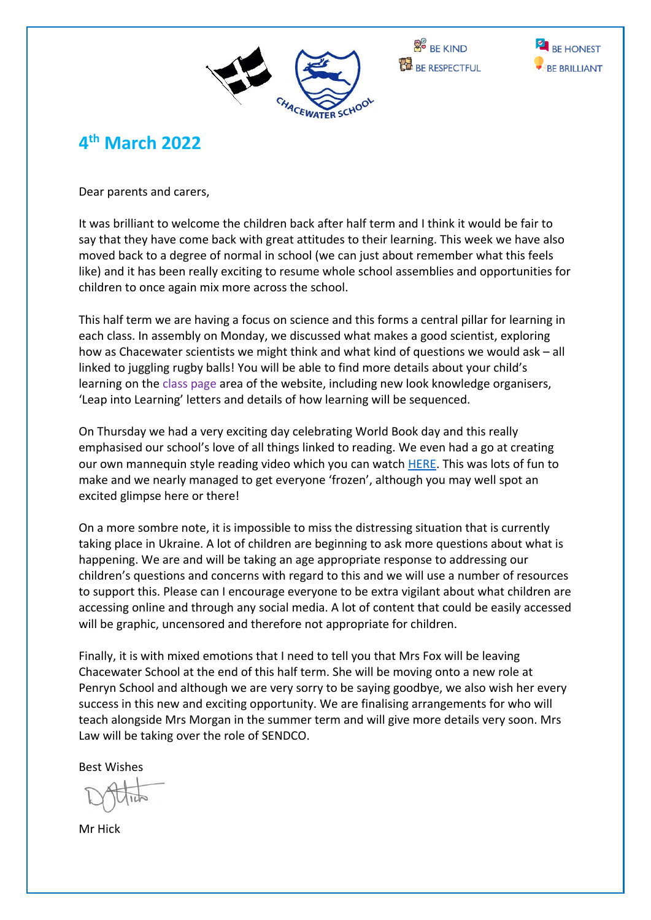





# **4 th March 2022**

Dear parents and carers,

It was brilliant to welcome the children back after half term and I think it would be fair to say that they have come back with great attitudes to their learning. This week we have also moved back to a degree of normal in school (we can just about remember what this feels like) and it has been really exciting to resume whole school assemblies and opportunities for children to once again mix more across the school.

This half term we are having a focus on science and this forms a central pillar for learning in each class. In assembly on Monday, we discussed what makes a good scientist, exploring how as Chacewater scientists we might think and what kind of questions we would ask – all linked to juggling rugby balls! You will be able to find more details about your child's learning on the class page area of the website, including new look knowledge organisers, 'Leap into Learning' letters and details of how learning will be sequenced.

On Thursday we had a very exciting day celebrating World Book day and this really emphasised our school's love of all things linked to reading. We even had a go at creating our own mannequin style reading video which you can watch [HERE.](https://youtu.be/LW6wby_aIPs) This was lots of fun to make and we nearly managed to get everyone 'frozen', although you may well spot an excited glimpse here or there!

On a more sombre note, it is impossible to miss the distressing situation that is currently taking place in Ukraine. A lot of children are beginning to ask more questions about what is happening. We are and will be taking an age appropriate response to addressing our children's questions and concerns with regard to this and we will use a number of resources to support this. Please can I encourage everyone to be extra vigilant about what children are accessing online and through any social media. A lot of content that could be easily accessed will be graphic, uncensored and therefore not appropriate for children.

Finally, it is with mixed emotions that I need to tell you that Mrs Fox will be leaving Chacewater School at the end of this half term. She will be moving onto a new role at Penryn School and although we are very sorry to be saying goodbye, we also wish her every success in this new and exciting opportunity. We are finalising arrangements for who will teach alongside Mrs Morgan in the summer term and will give more details very soon. Mrs Law will be taking over the role of SENDCO.

Best Wishes

Mr Hick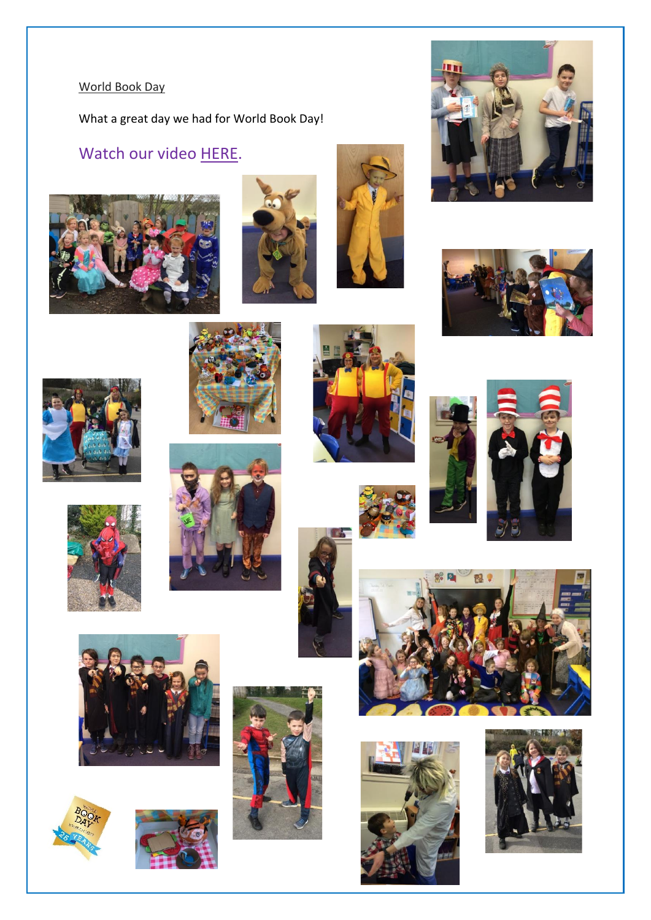## World Book Day

What a great day we had for World Book Day!

## Watch our video [HERE.](https://youtu.be/LW6wby_aIPs)







































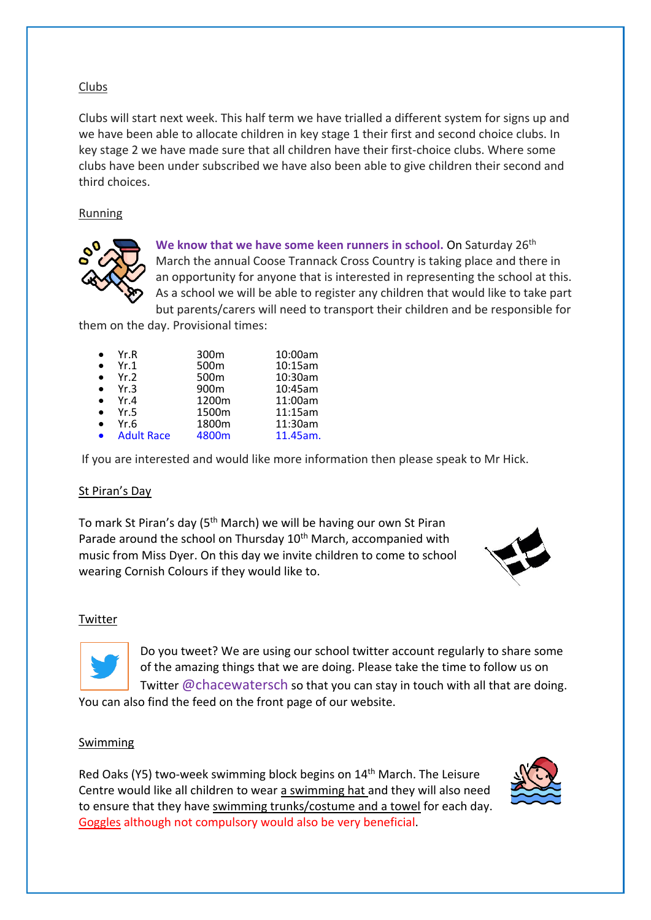## Clubs

Clubs will start next week. This half term we have trialled a different system for signs up and we have been able to allocate children in key stage 1 their first and second choice clubs. In key stage 2 we have made sure that all children have their first-choice clubs. Where some clubs have been under subscribed we have also been able to give children their second and third choices.

### Running



We know that we have some keen runners in school. On Saturday 26<sup>th</sup> March the annual Coose Trannack Cross Country is taking place and there in an opportunity for anyone that is interested in representing the school at this. As a school we will be able to register any children that would like to take part but parents/carers will need to transport their children and be responsible for

them on the day. Provisional times:

| Yr.R              | 300 <sub>m</sub> | 10:00am  |
|-------------------|------------------|----------|
| Yr.1              | 500 <sub>m</sub> | 10:15am  |
| Yr.2              | 500 <sub>m</sub> | 10:30am  |
| Yr.3              | 900m             | 10:45am  |
| Yr.4              | 1200m            | 11:00am  |
| Yr.5              | 1500m            | 11:15am  |
| Yr.6              | 1800m            | 11:30am  |
| <b>Adult Race</b> | 4800m            | 11.45am. |

If you are interested and would like more information then please speak to Mr Hick.

### St Piran's Day

To mark St Piran's day (5<sup>th</sup> March) we will be having our own St Piran Parade around the school on Thursday 10<sup>th</sup> March, accompanied with music from Miss Dyer. On this day we invite children to come to school wearing Cornish Colours if they would like to.



#### Twitter



Do you tweet? We are using our school twitter account regularly to share some of the amazing things that we are doing. Please take the time to follow us on Twitter @chacewatersch so that you can stay in touch with all that are doing.

You can also find the feed on the front page of our website.

#### Swimming

Red Oaks (Y5) two-week swimming block begins on 14<sup>th</sup> March. The Leisure Centre would like all children to wear a swimming hat and they will also need to ensure that they have swimming trunks/costume and a towel for each day. Goggles although not compulsory would also be very beneficial.

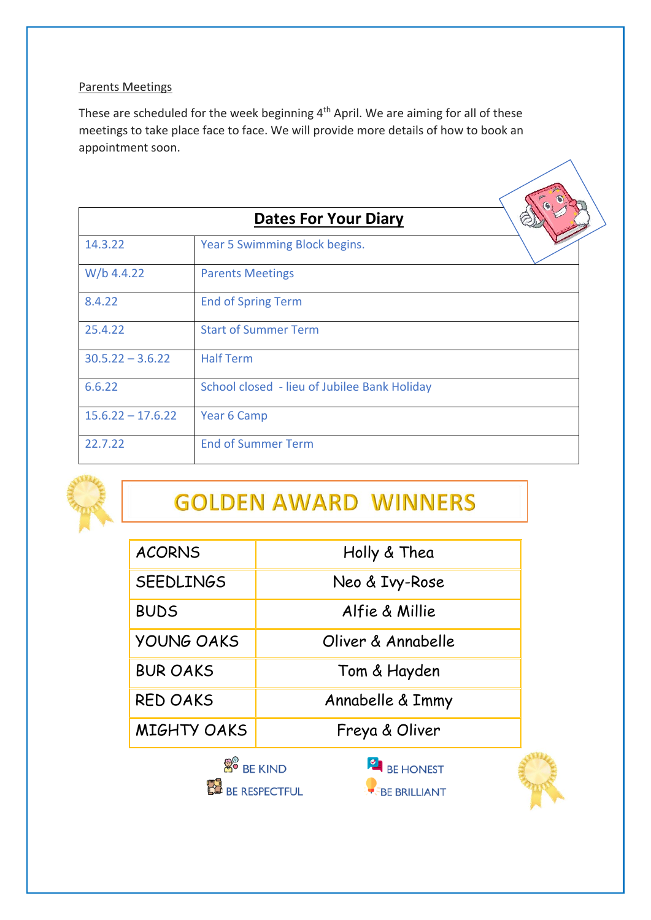## Parents Meetings

These are scheduled for the week beginning 4th April. We are aiming for all of these meetings to take place face to face. We will provide more details of how to book an appointment soon.

|                     | <b>Dates For Your Diary</b>                  |  |
|---------------------|----------------------------------------------|--|
| 14.3.22             | Year 5 Swimming Block begins.                |  |
| W/b 4.4.22          | <b>Parents Meetings</b>                      |  |
| 8.4.22              | <b>End of Spring Term</b>                    |  |
| 25.4.22             | <b>Start of Summer Term</b>                  |  |
| $30.5.22 - 3.6.22$  | <b>Half Term</b>                             |  |
| 6.6.22              | School closed - lieu of Jubilee Bank Holiday |  |
| $15.6.22 - 17.6.22$ | Year 6 Camp                                  |  |
| 22.7.22             | <b>End of Summer Term</b>                    |  |



# **GOLDEN AWARD WINNERS**

| <b>ACORNS</b>                 | Holly & Thea                                |  |
|-------------------------------|---------------------------------------------|--|
| <b>SEEDLINGS</b>              | Neo & Ivy-Rose                              |  |
| <b>BUDS</b>                   | Alfie & Millie                              |  |
| <b>YOUNG OAKS</b>             | Oliver & Annabelle                          |  |
| <b>BUR OAKS</b>               | Tom & Hayden                                |  |
| <b>RED OAKS</b>               | Annabelle & Immy                            |  |
| <b>MIGHTY OAKS</b>            | Freya & Oliver                              |  |
| <b>B</b> <sup>9</sup> BE KIND | BE HONEST                                   |  |
|                               | <b>DE RESPECTFUL</b><br><b>BE BRILLIANT</b> |  |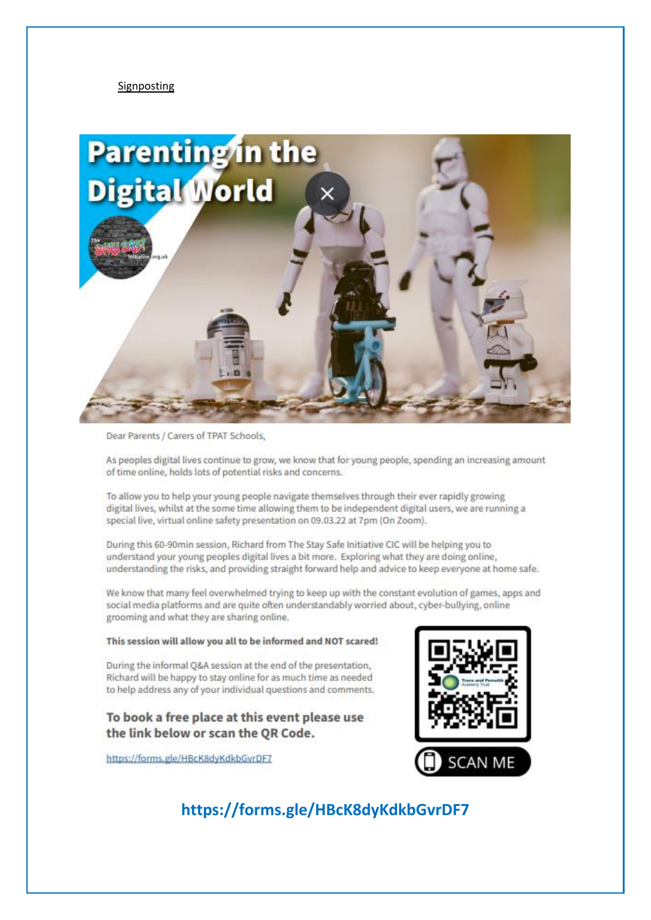#### Signposting



Dear Parents / Carers of TPAT Schools,

As peoples digital lives continue to grow, we know that for young people, spending an increasing amount of time online, holds lots of potential risks and concerns.

To allow you to help your young people navigate themselves through their ever rapidly growing digital lives, whilst at the some time allowing them to be independent digital users, we are running a special live, virtual online safety presentation on 09.03.22 at 7pm (On Zoom).

During this 60-90min session, Richard from The Stay Safe Initiative CIC will be helping you to understand your young peoples digital lives a bit more. Exploring what they are doing online, understanding the risks, and providing straight forward help and advice to keep everyone at home safe.

We know that many feel overwhelmed trying to keep up with the constant evolution of games, apps and social media platforms and are quite often understandably worried about, cyber-bullying, online grooming and what they are sharing online.

#### This session will allow you all to be informed and NOT scared!

During the informal O&A session at the end of the presentation. Richard will be happy to stay online for as much time as needed to help address any of your individual questions and comments.

### To book a free place at this event please use the link below or scan the QR Code.

https://forms.gle/HBcK8dyKdkbGvrDF7



## https://forms.gle/HBcK8dyKdkbGvrDF7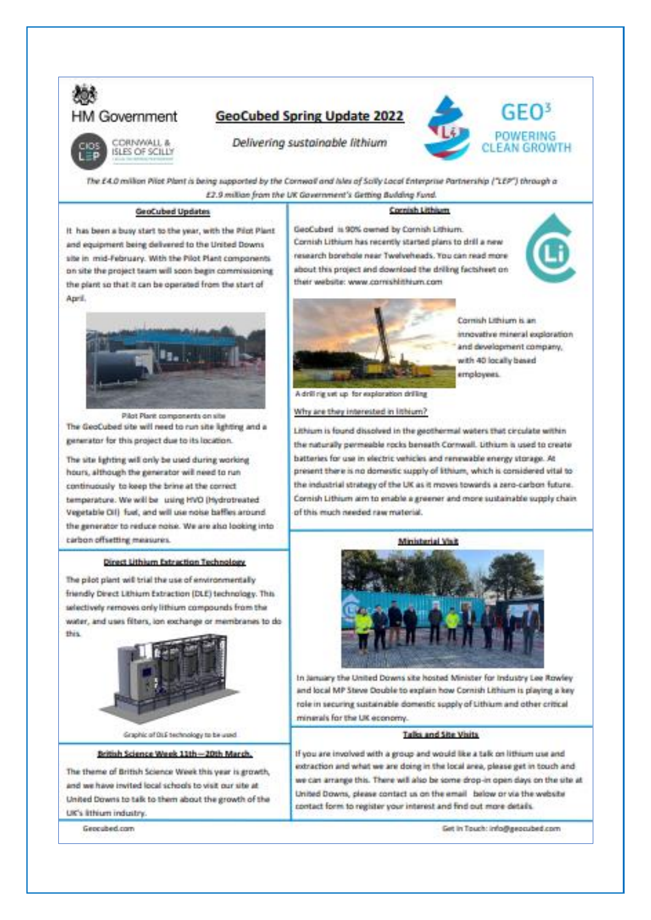

## **GeoCubed Spring Update 2022**



Delivering sustainable lithium

The £4.0 million Pilot Plant is being supported by the Conneal and Isles of Solly Local Enterprise Partnership ("LEP") through a £2.9 million from the UK Gavernment's Getting Building Fund.

#### **GeoCubed Updates**

## Cornish Lithium

It has been a busy start to the year, with the Pilot Plant and equipment being delivered to the United Downs site in mid-February. With the Pilot Plant components. on site the project team will soon begin commissioning the plant so that it can be operated from the start of April.



Pilot Plant components on site The GeoCubed site will need to run site lighting and a generator for this project due to its location.

The site lighting will only be used during working hours, although the generator will need to run continuously to keep the brine at the correct temperature. We will be using HVO (Hydrotreated Vegetable Oil) fuel, and will use noise baffles around. the generator to reduce noise. We are also looking into carbon offsetting measures.

#### **Direct Lithium Extraction Technology**

The pilot plant will trial the use of environmentally friendly Direct Lithium Extraction (DLE) technology. This selectively removes only lithium compounds from the water, and uses filters, ion exchange or membranes to dothis



Graphic of DLE technology to be used British Science Week 11th -- 20th March.

The theme of British Science Week this year is growth, and we have invited local schools to visit our site at United Downs to talk to them about the growth of the UK's lithium industry.

Geocubed.com







Countries three in the innovative mineral exploration and development company. with 40 locally based employees.

A drill rig ust up for exploration drilling

Why are they interested in lithium?

Lithium is found dissolved in the geothermal waters that circulate within the naturally permeable rocks beneath Cornwall. Lithium is used to create batteries for use in electric vehicles and renewable energy storage. At present there is no domestic supply of lithium, which is considered vital to the industrial strategy of the UK as it moves towards a zero-carbon future. Cornish Lithium aim to enable a greener and more sustainable supply chain of this much needed raw material.

Ministerial Visit



In January the United Downs site hosted Minister for Industry Lee Rowley and local MP Steve Double to explain how Connish Lithium is playing a key role in securing sustainable domestic supply of Lithium and other critical minerals for the UK economy.

#### Talks and the Visits

If you are involved with a group and would like a talk on lithium use and extraction and what we are doing in the local area, please get in touch and we can arrange this. There will also be some drop-in open days on the site at United Downs, please contact us on the email below or via the website contact form to register your interest and find out more details.

Get in Touch: info@geocubed.com